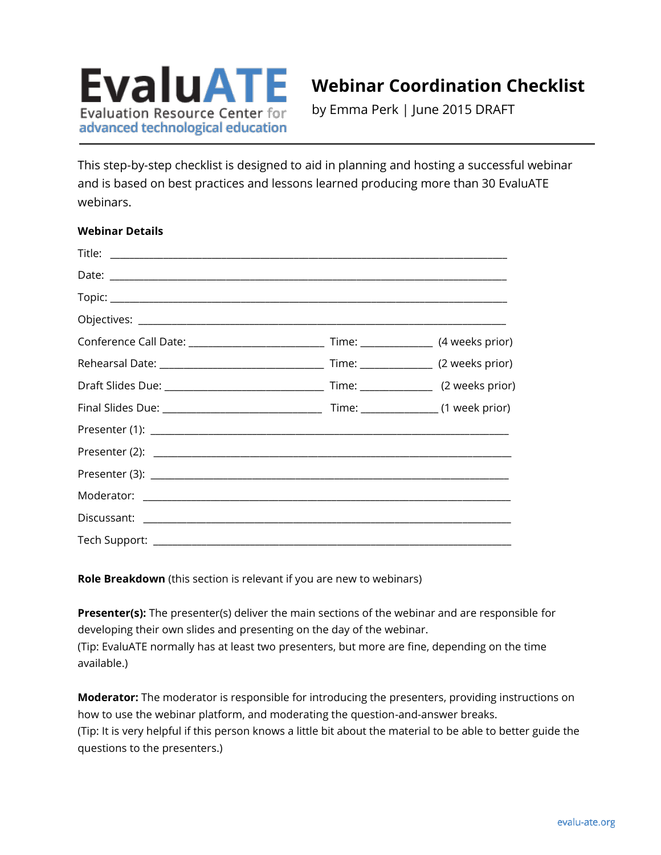

# **Webinar Coordination Checklist**

by Emma Perk | June 2015 DRAFT

This step-by-step checklist is designed to aid in planning and hosting a successful webinar and is based on best practices and lessons learned producing more than 30 EvaluATE webinars.

## **Webinar Details**

| Tech Support: _________ |  |
|-------------------------|--|

**Role Breakdown** (this section is relevant if you are new to webinars)

**Presenter(s):** The presenter(s) deliver the main sections of the webinar and are responsible for developing their own slides and presenting on the day of the webinar. (Tip: EvaluATE normally has at least two presenters, but more are fine, depending on the time available.)

**Moderator:** The moderator is responsible for introducing the presenters, providing instructions on how to use the webinar platform, and moderating the question-and-answer breaks. (Tip: It is very helpful if this person knows a little bit about the material to be able to better guide the questions to the presenters.)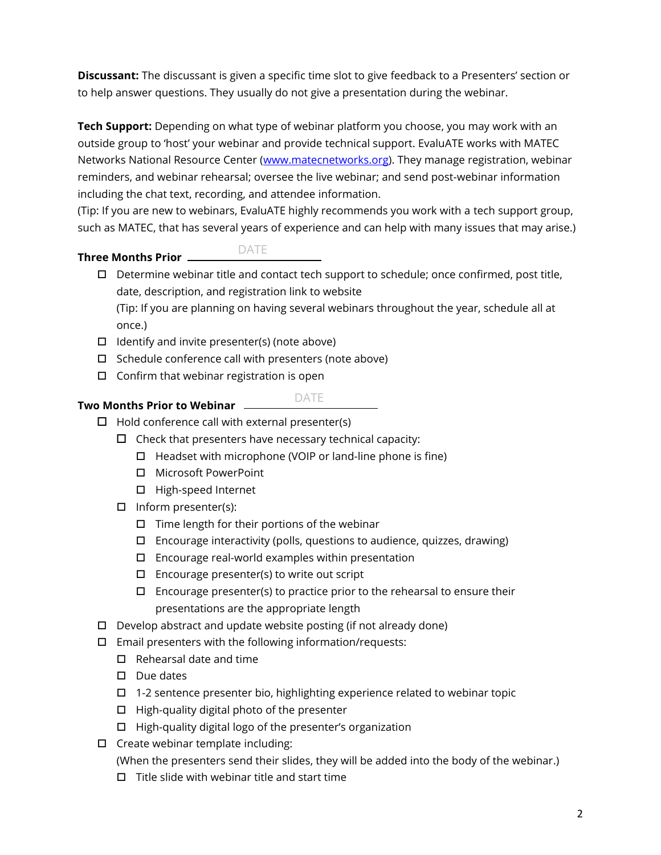**Discussant:** The discussant is given a specific time slot to give feedback to a Presenters' section or to help answer questions. They usually do not give a presentation during the webinar.

**Tech Support:** Depending on what type of webinar platform you choose, you may work with an outside group to 'host' your webinar and provide technical support. EvaluATE works with MATEC Networks National Resource Center [\(www.matecnetworks.org\)](http://www.matecnetworks.org/). They manage registration, webinar reminders, and webinar rehearsal; oversee the live webinar; and send post-webinar information including the chat text, recording, and attendee information.

(Tip: If you are new to webinars, EvaluATE highly recommends you work with a tech support group, such as MATEC, that has several years of experience and can help with many issues that may arise.)

#### **Three Months Prior**  DATE

 $\Box$  Determine webinar title and contact tech support to schedule; once confirmed, post title, date, description, and registration link to website

(Tip: If you are planning on having several webinars throughout the year, schedule all at once.)

- $\Box$  Identify and invite presenter(s) (note above)
- $\Box$  Schedule conference call with presenters (note above)
- $\Box$  Confirm that webinar registration is open

# **Two Months Prior to Webinar**

# DATE

- $\Box$  Hold conference call with external presenter(s)
	- $\square$  Check that presenters have necessary technical capacity:
		- $\Box$  Headset with microphone (VOIP or land-line phone is fine)
		- □ Microsoft PowerPoint
		- □ High-speed Internet
	- $\Box$  Inform presenter(s):
		- $\Box$  Time length for their portions of the webinar
		- $\Box$  Encourage interactivity (polls, questions to audience, quizzes, drawing)
		- $\square$  Encourage real-world examples within presentation
		- $\Box$  Encourage presenter(s) to write out script
		- $\square$  Encourage presenter(s) to practice prior to the rehearsal to ensure their presentations are the appropriate length
- $\Box$  Develop abstract and update website posting (if not already done)
- $\Box$  Email presenters with the following information/requests:
	- $\Box$  Rehearsal date and time
	- $\square$  Due dates
	- $\Box$  1-2 sentence presenter bio, highlighting experience related to webinar topic
	- $\Box$  High-quality digital photo of the presenter
	- $\Box$  High-quality digital logo of the presenter's organization
- $\Box$  Create webinar template including:

(When the presenters send their slides, they will be added into the body of the webinar.)

 $\Box$  Title slide with webinar title and start time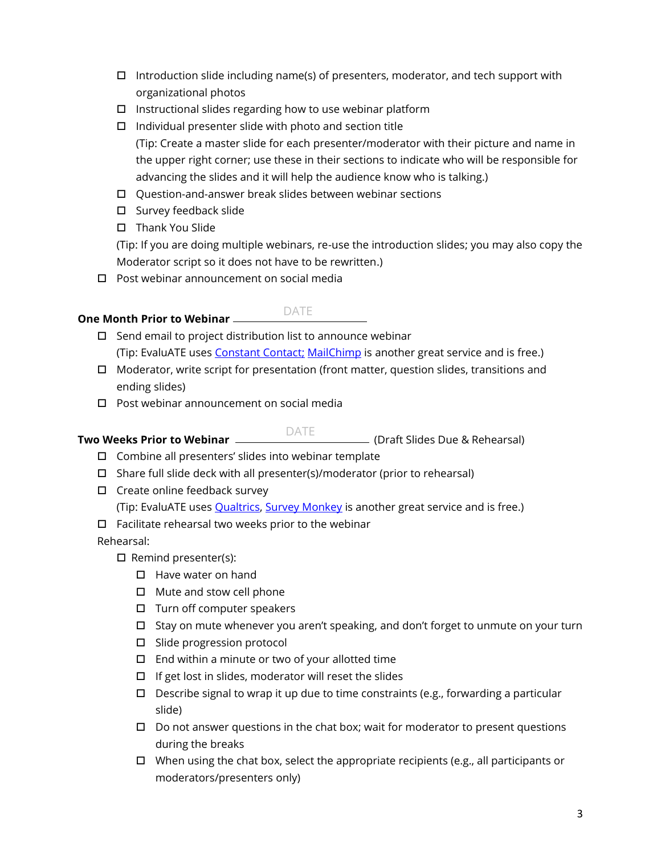- $\Box$  Introduction slide including name(s) of presenters, moderator, and tech support with organizational photos
- $\Box$  Instructional slides regarding how to use webinar platform
- $\Box$  Individual presenter slide with photo and section title

(Tip: Create a master slide for each presenter/moderator with their picture and name in the upper right corner; use these in their sections to indicate who will be responsible for advancing the slides and it will help the audience know who is talking.)

- Question-and-answer break slides between webinar sections
- $\square$  Survey feedback slide
- $\Box$  Thank You Slide

(Tip: If you are doing multiple webinars, re-use the introduction slides; you may also copy the Moderator script so it does not have to be rewritten.)

□ Post webinar announcement on social media

# **One Month Prior to Webinar**

# DATE

- $\square$  Send email to project distribution list to announce webinar (Tip: EvaluATE uses [Constant Contact;](http://www.constantcontact.com/) [MailChimp](http://mailchimp.com/) is another great service and is free.)
- $\Box$  Moderator, write script for presentation (front matter, question slides, transitions and ending slides)
- □ Post webinar announcement on social media

#### **Two Weeks Prior to Webinar** (Draft Slides Due & Rehearsal) DATE

- $\square$  Combine all presenters' slides into webinar template
- $\Box$  Share full slide deck with all presenter(s)/moderator (prior to rehearsal)
- $\square$  Create online feedback survey

(Tip: EvaluATE uses **Qualtrics, [Survey Monkey](http://www.surveymonkey.com/)** is another great service and is free.)

 $\square$  Facilitate rehearsal two weeks prior to the webinar

Rehearsal:

- $\Box$  Remind presenter(s):
	- $\Box$  Have water on hand
	- $\Box$  Mute and stow cell phone
	- $\Box$  Turn off computer speakers
	- $\Box$  Stay on mute whenever you aren't speaking, and don't forget to unmute on your turn
	- □ Slide progression protocol
	- $\Box$  End within a minute or two of your allotted time
	- $\Box$  If get lost in slides, moderator will reset the slides
	- $\Box$  Describe signal to wrap it up due to time constraints (e.g., forwarding a particular slide)
	- $\Box$  Do not answer questions in the chat box; wait for moderator to present questions during the breaks
	- $\Box$  When using the chat box, select the appropriate recipients (e.g., all participants or moderators/presenters only)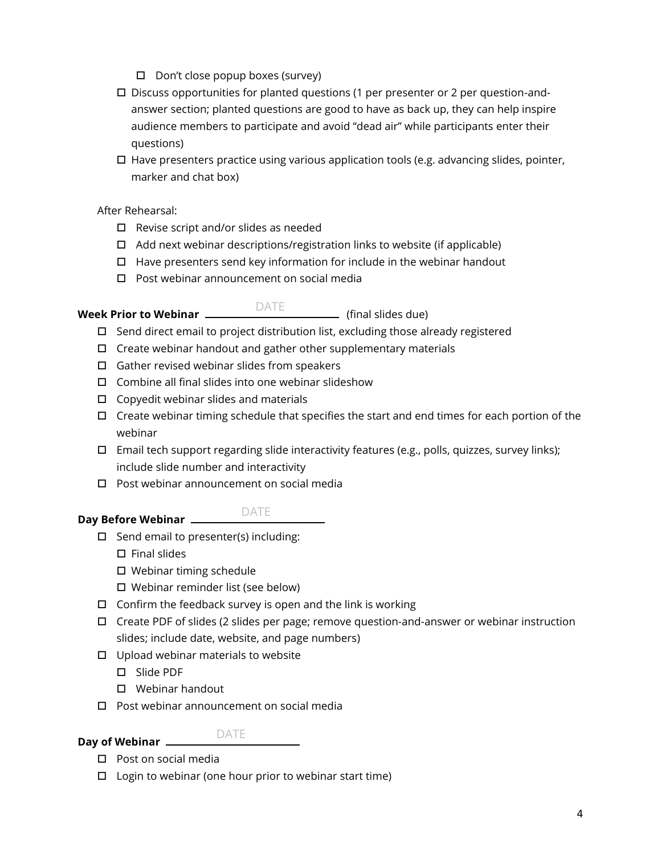- $\Box$  Don't close popup boxes (survey)
- $\square$  Discuss opportunities for planted questions (1 per presenter or 2 per question-andanswer section; planted questions are good to have as back up, they can help inspire audience members to participate and avoid "dead air" while participants enter their questions)
- $\Box$  Have presenters practice using various application tools (e.g. advancing slides, pointer, marker and chat box)

# After Rehearsal:

- $\Box$  Revise script and/or slides as needed
- $\Box$  Add next webinar descriptions/registration links to website (if applicable)
- $\Box$  Have presenters send key information for include in the webinar handout
- □ Post webinar announcement on social media

### **Week Prior to Webinar** \_\_\_\_\_\_\_\_\_\_<sup>\_\_\_\_\_\_\_\_\_</sup>\_\_\_\_\_\_\_\_\_\_\_\_\_\_\_ (final slides due) DATE

- $\Box$  Send direct email to project distribution list, excluding those already registered
- $\Box$  Create webinar handout and gather other supplementary materials
- $\Box$  Gather revised webinar slides from speakers
- $\square$  Combine all final slides into one webinar slideshow
- $\Box$  Copyedit webinar slides and materials
- $\Box$  Create webinar timing schedule that specifies the start and end times for each portion of the webinar
- $\Box$  Email tech support regarding slide interactivity features (e.g., polls, quizzes, survey links); include slide number and interactivity
- □ Post webinar announcement on social media

# **Day Before Webinar**  DATE

- $\Box$  Send email to presenter(s) including:
	- $\square$  Final slides
	- $\square$  Webinar timing schedule
	- Webinar reminder list (see below)
- $\Box$  Confirm the feedback survey is open and the link is working
- Create PDF of slides (2 slides per page; remove question-and-answer or webinar instruction slides; include date, website, and page numbers)
- $\Box$  Upload webinar materials to website
	- Slide PDF
	- Webinar handout
- $\square$  Post webinar announcement on social media

# **Day of Webinar**

# DATE

- □ Post on social media
- $\Box$  Login to webinar (one hour prior to webinar start time)